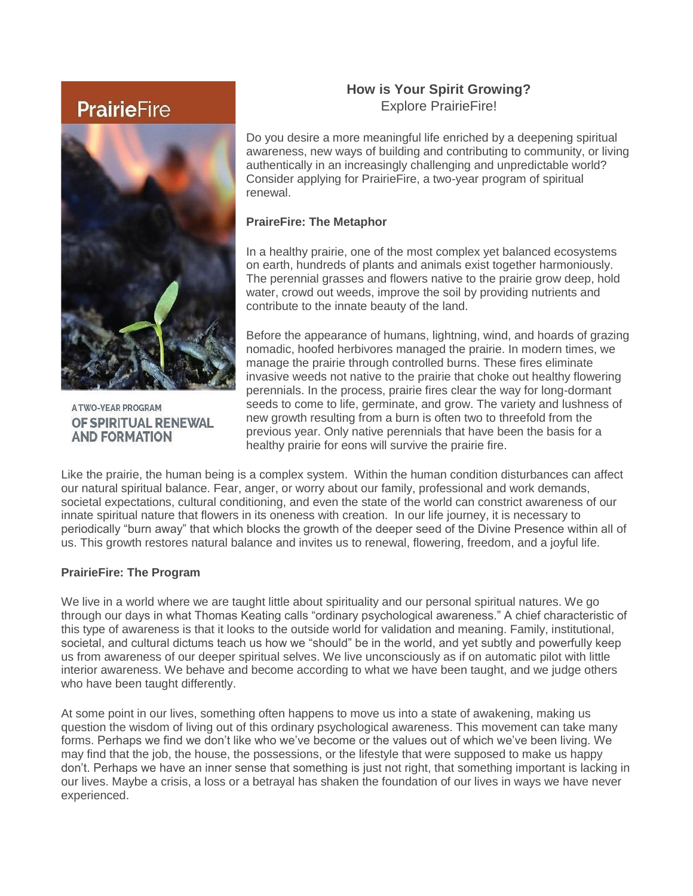# **PrairieFire**



**ATWO-YEAR PROGRAM** OF SPIRITUAL RENEWAL **AND FORMATION** 

# **How is Your Spirit Growing?** Explore PrairieFire!

Do you desire a more meaningful life enriched by a deepening spiritual awareness, new ways of building and contributing to community, or living authentically in an increasingly challenging and unpredictable world? Consider applying for PrairieFire, a two-year program of spiritual renewal.

### **PraireFire: The Metaphor**

In a healthy prairie, one of the most complex yet balanced ecosystems on earth, hundreds of plants and animals exist together harmoniously. The perennial grasses and flowers native to the prairie grow deep, hold water, crowd out weeds, improve the soil by providing nutrients and contribute to the innate beauty of the land.

Before the appearance of humans, lightning, wind, and hoards of grazing nomadic, hoofed herbivores managed the prairie. In modern times, we manage the prairie through controlled burns. These fires eliminate invasive weeds not native to the prairie that choke out healthy flowering perennials. In the process, prairie fires clear the way for long-dormant seeds to come to life, germinate, and grow. The variety and lushness of new growth resulting from a burn is often two to threefold from the previous year. Only native perennials that have been the basis for a healthy prairie for eons will survive the prairie fire.

Like the prairie, the human being is a complex system. Within the human condition disturbances can affect our natural spiritual balance. Fear, anger, or worry about our family, professional and work demands, societal expectations, cultural conditioning, and even the state of the world can constrict awareness of our innate spiritual nature that flowers in its oneness with creation. In our life journey, it is necessary to periodically "burn away" that which blocks the growth of the deeper seed of the Divine Presence within all of us. This growth restores natural balance and invites us to renewal, flowering, freedom, and a joyful life.

# **PrairieFire: The Program**

We live in a world where we are taught little about spirituality and our personal spiritual natures. We go through our days in what Thomas Keating calls "ordinary psychological awareness." A chief characteristic of this type of awareness is that it looks to the outside world for validation and meaning. Family, institutional, societal, and cultural dictums teach us how we "should" be in the world, and yet subtly and powerfully keep us from awareness of our deeper spiritual selves. We live unconsciously as if on automatic pilot with little interior awareness. We behave and become according to what we have been taught, and we judge others who have been taught differently.

At some point in our lives, something often happens to move us into a state of awakening, making us question the wisdom of living out of this ordinary psychological awareness. This movement can take many forms. Perhaps we find we don't like who we've become or the values out of which we've been living. We may find that the job, the house, the possessions, or the lifestyle that were supposed to make us happy don't. Perhaps we have an inner sense that something is just not right, that something important is lacking in our lives. Maybe a crisis, a loss or a betrayal has shaken the foundation of our lives in ways we have never experienced.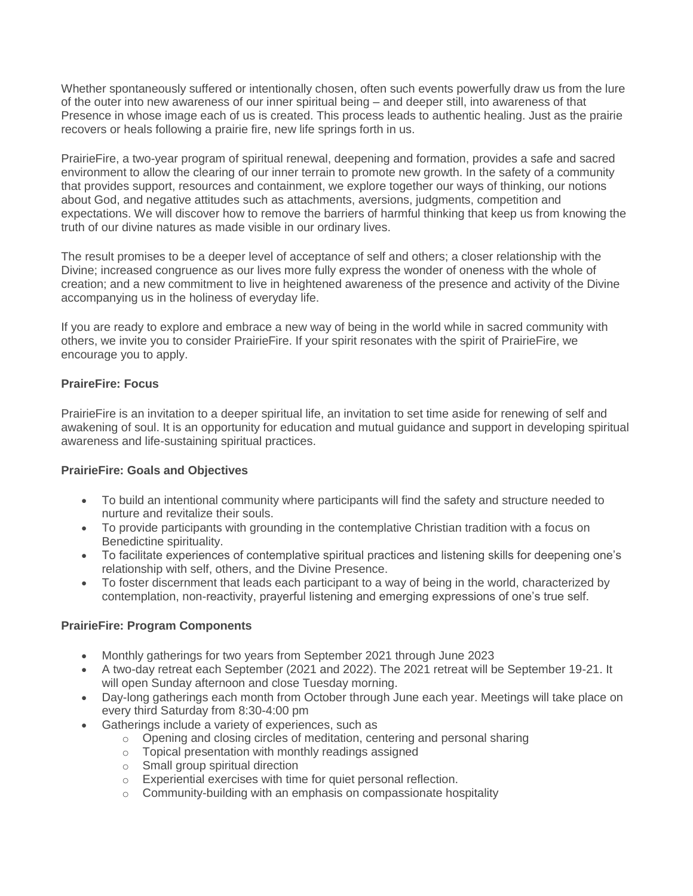Whether spontaneously suffered or intentionally chosen, often such events powerfully draw us from the lure of the outer into new awareness of our inner spiritual being – and deeper still, into awareness of that Presence in whose image each of us is created. This process leads to authentic healing. Just as the prairie recovers or heals following a prairie fire, new life springs forth in us.

PrairieFire, a two-year program of spiritual renewal, deepening and formation, provides a safe and sacred environment to allow the clearing of our inner terrain to promote new growth. In the safety of a community that provides support, resources and containment, we explore together our ways of thinking, our notions about God, and negative attitudes such as attachments, aversions, judgments, competition and expectations. We will discover how to remove the barriers of harmful thinking that keep us from knowing the truth of our divine natures as made visible in our ordinary lives.

The result promises to be a deeper level of acceptance of self and others; a closer relationship with the Divine; increased congruence as our lives more fully express the wonder of oneness with the whole of creation; and a new commitment to live in heightened awareness of the presence and activity of the Divine accompanying us in the holiness of everyday life.

If you are ready to explore and embrace a new way of being in the world while in sacred community with others, we invite you to consider PrairieFire. If your spirit resonates with the spirit of PrairieFire, we encourage you to apply.

#### **PraireFire: Focus**

PrairieFire is an invitation to a deeper spiritual life, an invitation to set time aside for renewing of self and awakening of soul. It is an opportunity for education and mutual guidance and support in developing spiritual awareness and life-sustaining spiritual practices.

#### **PrairieFire: Goals and Objectives**

- To build an intentional community where participants will find the safety and structure needed to nurture and revitalize their souls.
- To provide participants with grounding in the contemplative Christian tradition with a focus on Benedictine spirituality.
- To facilitate experiences of contemplative spiritual practices and listening skills for deepening one's relationship with self, others, and the Divine Presence.
- To foster discernment that leads each participant to a way of being in the world, characterized by contemplation, non-reactivity, prayerful listening and emerging expressions of one's true self.

#### **PrairieFire: Program Components**

- Monthly gatherings for two years from September 2021 through June 2023
- A two-day retreat each September (2021 and 2022). The 2021 retreat will be September 19-21. It will open Sunday afternoon and close Tuesday morning.
- Day-long gatherings each month from October through June each year. Meetings will take place on every third Saturday from 8:30-4:00 pm
	- Gatherings include a variety of experiences, such as
		- $\circ$  Opening and closing circles of meditation, centering and personal sharing
		- o Topical presentation with monthly readings assigned
		- o Small group spiritual direction
		- o Experiential exercises with time for quiet personal reflection.
		- o Community-building with an emphasis on compassionate hospitality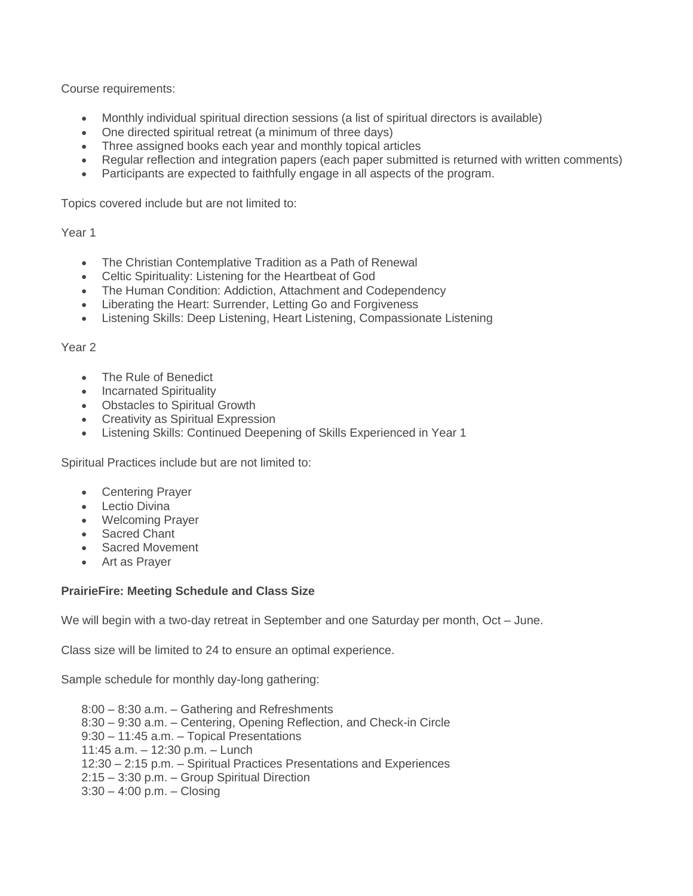Course requirements:

- Monthly individual spiritual direction sessions (a list of spiritual directors is available)
- One directed spiritual retreat (a minimum of three days)
- Three assigned books each year and monthly topical articles
- Regular reflection and integration papers (each paper submitted is returned with written comments)
- Participants are expected to faithfully engage in all aspects of the program.

Topics covered include but are not limited to:

#### Year 1

- The Christian Contemplative Tradition as a Path of Renewal
- Celtic Spirituality: Listening for the Heartbeat of God
- The Human Condition: Addiction, Attachment and Codependency
- Liberating the Heart: Surrender, Letting Go and Forgiveness
- Listening Skills: Deep Listening, Heart Listening, Compassionate Listening

#### Year 2

- The Rule of Benedict
- Incarnated Spirituality
- Obstacles to Spiritual Growth
- Creativity as Spiritual Expression
- Listening Skills: Continued Deepening of Skills Experienced in Year 1

Spiritual Practices include but are not limited to:

- Centering Prayer
- Lectio Divina
- Welcoming Prayer
- Sacred Chant
- Sacred Movement
- Art as Prayer

# **PrairieFire: Meeting Schedule and Class Size**

We will begin with a two-day retreat in September and one Saturday per month, Oct – June.

Class size will be limited to 24 to ensure an optimal experience.

Sample schedule for monthly day-long gathering:

8:00 – 8:30 a.m. – Gathering and Refreshments 8:30 – 9:30 a.m. – Centering, Opening Reflection, and Check-in Circle 9:30 – 11:45 a.m. – Topical Presentations 11:45 a.m. – 12:30 p.m. – Lunch 12:30 – 2:15 p.m. – Spiritual Practices Presentations and Experiences 2:15 – 3:30 p.m. – Group Spiritual Direction 3:30 – 4:00 p.m. – Closing